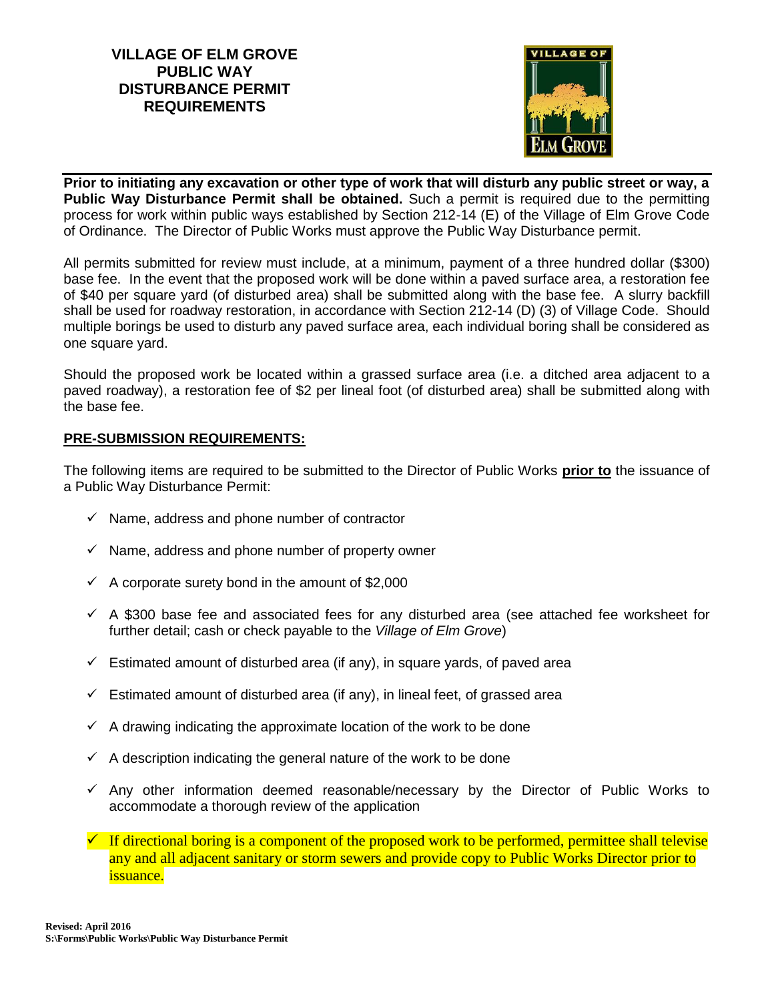## **VILLAGE OF ELM GROVE PUBLIC WAY DISTURBANCE PERMIT REQUIREMENTS**



**Prior to initiating any excavation or other type of work that will disturb any public street or way, a Public Way Disturbance Permit shall be obtained.** Such a permit is required due to the permitting process for work within public ways established by Section 212-14 (E) of the Village of Elm Grove Code of Ordinance. The Director of Public Works must approve the Public Way Disturbance permit.

All permits submitted for review must include, at a minimum, payment of a three hundred dollar (\$300) base fee. In the event that the proposed work will be done within a paved surface area, a restoration fee of \$40 per square yard (of disturbed area) shall be submitted along with the base fee. A slurry backfill shall be used for roadway restoration, in accordance with Section 212-14 (D) (3) of Village Code. Should multiple borings be used to disturb any paved surface area, each individual boring shall be considered as one square yard.

Should the proposed work be located within a grassed surface area (i.e. a ditched area adjacent to a paved roadway), a restoration fee of \$2 per lineal foot (of disturbed area) shall be submitted along with the base fee.

## **PRE-SUBMISSION REQUIREMENTS:**

The following items are required to be submitted to the Director of Public Works **prior to** the issuance of a Public Way Disturbance Permit:

- $\checkmark$  Name, address and phone number of contractor
- $\checkmark$  Name, address and phone number of property owner
- $\checkmark$  A corporate surety bond in the amount of \$2,000
- $\checkmark$  A \$300 base fee and associated fees for any disturbed area (see attached fee worksheet for further detail; cash or check payable to the *Village of Elm Grove*)
- $\checkmark$  Estimated amount of disturbed area (if any), in square yards, of paved area
- $\checkmark$  Estimated amount of disturbed area (if any), in lineal feet, of grassed area
- $\checkmark$  A drawing indicating the approximate location of the work to be done
- $\checkmark$  A description indicating the general nature of the work to be done
- $\checkmark$  Any other information deemed reasonable/necessary by the Director of Public Works to accommodate a thorough review of the application
- $\checkmark$  If directional boring is a component of the proposed work to be performed, permittee shall televise any and all adjacent sanitary or storm sewers and provide copy to Public Works Director prior to issuance.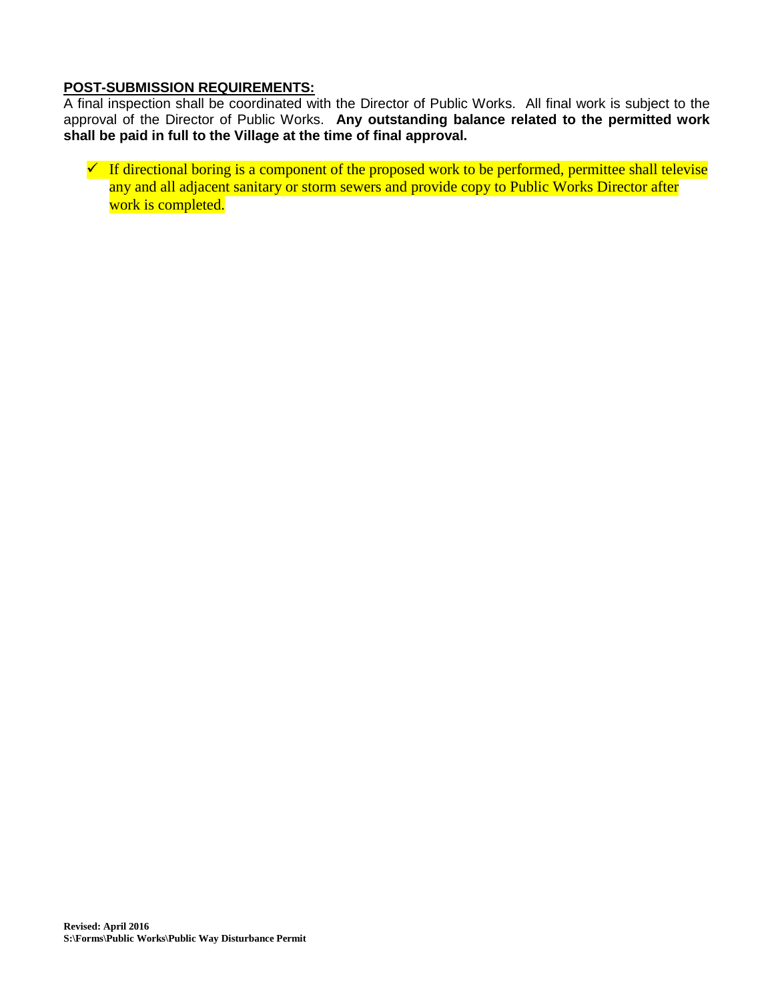## **POST-SUBMISSION REQUIREMENTS:**

A final inspection shall be coordinated with the Director of Public Works. All final work is subject to the approval of the Director of Public Works. **Any outstanding balance related to the permitted work shall be paid in full to the Village at the time of final approval.**

 $\checkmark$  If directional boring is a component of the proposed work to be performed, permittee shall televise any and all adjacent sanitary or storm sewers and provide copy to Public Works Director after work is completed.